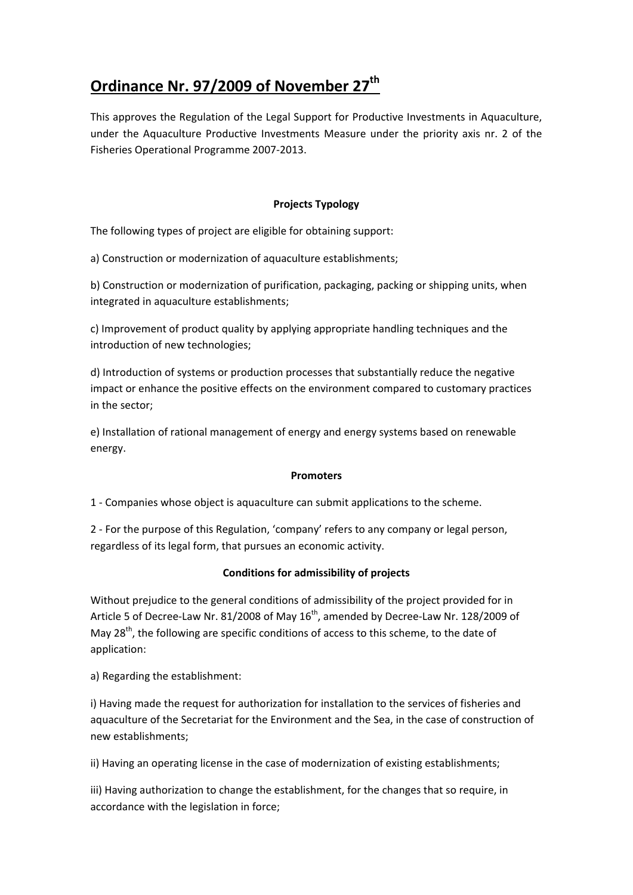# **Ordinance Nr. 97/2009 of November 27th**

This approves the Regulation of the Legal Support for Productive Investments in Aquaculture, under the Aquaculture Productive Investments Measure under the priority axis nr. 2 of the Fisheries Operational Programme 2007-2013.

## **Projects Typology**

The following types of project are eligible for obtaining support:

a) Construction or modernization of aquaculture establishments;

b) Construction or modernization of purification, packaging, packing or shipping units, when integrated in aquaculture establishments;

c) Improvement of product quality by applying appropriate handling techniques and the introduction of new technologies;

d) Introduction of systems or production processes that substantially reduce the negative impact or enhance the positive effects on the environment compared to customary practices in the sector;

e) Installation of rational management of energy and energy systems based on renewable energy.

## **Promoters**

1 - Companies whose object is aquaculture can submit applications to the scheme.

2 - For the purpose of this Regulation, 'company' refers to any company or legal person, regardless of its legal form, that pursues an economic activity.

## **Conditions for admissibility of projects**

Without prejudice to the general conditions of admissibility of the project provided for in Article 5 of Decree-Law Nr. 81/2008 of May  $16^{th}$ , amended by Decree-Law Nr. 128/2009 of May  $28<sup>th</sup>$ , the following are specific conditions of access to this scheme, to the date of application:

a) Regarding the establishment:

i) Having made the request for authorization for installation to the services of fisheries and aquaculture of the Secretariat for the Environment and the Sea, in the case of construction of new establishments;

ii) Having an operating license in the case of modernization of existing establishments;

iii) Having authorization to change the establishment, for the changes that so require, in accordance with the legislation in force;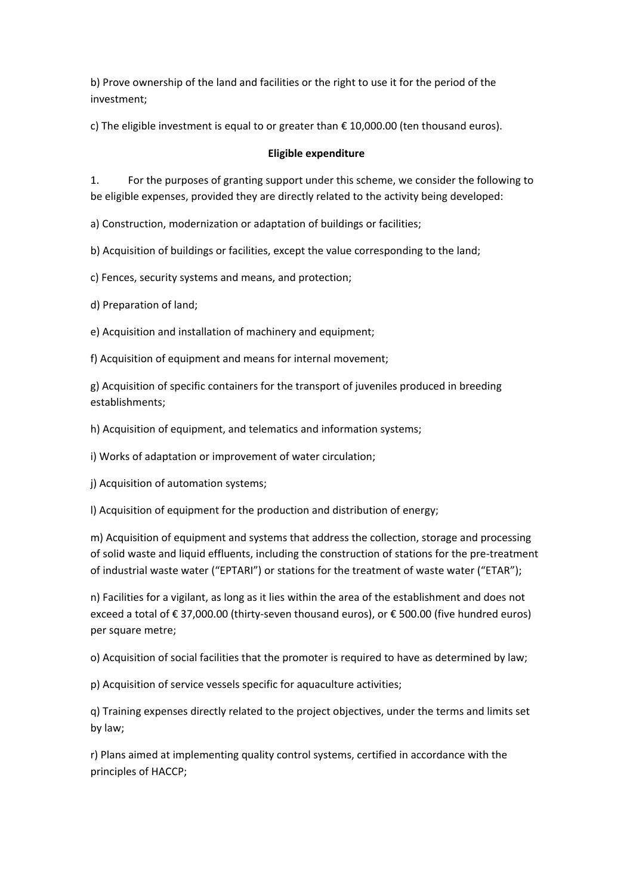b) Prove ownership of the land and facilities or the right to use it for the period of the investment;

c) The eligible investment is equal to or greater than  $\epsilon$  10,000.00 (ten thousand euros).

## **Eligible expenditure**

1. For the purposes of granting support under this scheme, we consider the following to be eligible expenses, provided they are directly related to the activity being developed:

a) Construction, modernization or adaptation of buildings or facilities;

b) Acquisition of buildings or facilities, except the value corresponding to the land;

c) Fences, security systems and means, and protection;

d) Preparation of land;

e) Acquisition and installation of machinery and equipment;

f) Acquisition of equipment and means for internal movement;

g) Acquisition of specific containers for the transport of juveniles produced in breeding establishments;

h) Acquisition of equipment, and telematics and information systems;

i) Works of adaptation or improvement of water circulation;

i) Acquisition of automation systems:

l) Acquisition of equipment for the production and distribution of energy;

m) Acquisition of equipment and systems that address the collection, storage and processing of solid waste and liquid effluents, including the construction of stations for the pre-treatment of industrial waste water ("EPTARI") or stations for the treatment of waste water ("ETAR");

n) Facilities for a vigilant, as long as it lies within the area of the establishment and does not exceed a total of € 37,000.00 (thirty-seven thousand euros), or € 500.00 (five hundred euros) per square metre;

o) Acquisition of social facilities that the promoter is required to have as determined by law;

p) Acquisition of service vessels specific for aquaculture activities;

q) Training expenses directly related to the project objectives, under the terms and limits set by law;

r) Plans aimed at implementing quality control systems, certified in accordance with the principles of HACCP;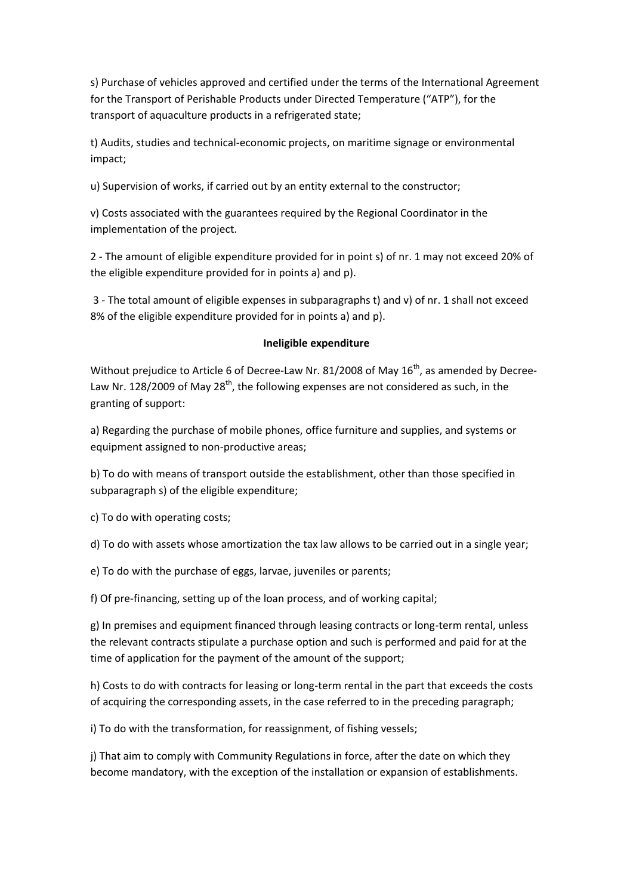s) Purchase of vehicles approved and certified under the terms of the International Agreement for the Transport of Perishable Products under Directed Temperature ("ATP"), for the transport of aquaculture products in a refrigerated state;

t) Audits, studies and technical-economic projects, on maritime signage or environmental impact;

u) Supervision of works, if carried out by an entity external to the constructor;

v) Costs associated with the guarantees required by the Regional Coordinator in the implementation of the project.

2 - The amount of eligible expenditure provided for in point s) of nr. 1 may not exceed 20% of the eligible expenditure provided for in points a) and p).

3 - The total amount of eligible expenses in subparagraphs t) and v) of nr. 1 shall not exceed 8% of the eligible expenditure provided for in points a) and p).

### **Ineligible expenditure**

Without prejudice to Article 6 of Decree-Law Nr. 81/2008 of May  $16^{th}$ , as amended by Decree-Law Nr. 128/2009 of May 28<sup>th</sup>, the following expenses are not considered as such, in the granting of support:

a) Regarding the purchase of mobile phones, office furniture and supplies, and systems or equipment assigned to non-productive areas;

b) To do with means of transport outside the establishment, other than those specified in subparagraph s) of the eligible expenditure;

c) To do with operating costs;

d) To do with assets whose amortization the tax law allows to be carried out in a single year;

e) To do with the purchase of eggs, larvae, juveniles or parents;

f) Of pre-financing, setting up of the loan process, and of working capital;

g) In premises and equipment financed through leasing contracts or long-term rental, unless the relevant contracts stipulate a purchase option and such is performed and paid for at the time of application for the payment of the amount of the support;

h) Costs to do with contracts for leasing or long-term rental in the part that exceeds the costs of acquiring the corresponding assets, in the case referred to in the preceding paragraph;

i) To do with the transformation, for reassignment, of fishing vessels;

j) That aim to comply with Community Regulations in force, after the date on which they become mandatory, with the exception of the installation or expansion of establishments.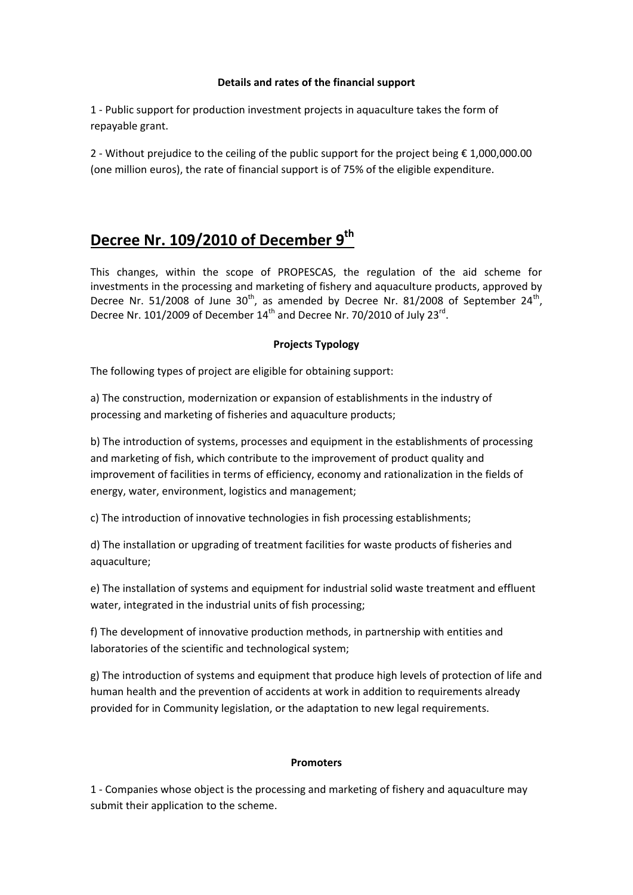### **Details and rates of the financial support**

1 - Public support for production investment projects in aquaculture takes the form of repayable grant.

2 - Without prejudice to the ceiling of the public support for the project being € 1,000,000.00 (one million euros), the rate of financial support is of 75% of the eligible expenditure.

## **Decree Nr. 109/2010 of December 9th**

This changes, within the scope of PROPESCAS, the regulation of the aid scheme for investments in the processing and marketing of fishery and aquaculture products, approved by Decree Nr. 51/2008 of June  $30<sup>th</sup>$ , as amended by Decree Nr. 81/2008 of September 24<sup>th</sup>, Decree Nr. 101/2009 of December  $14<sup>th</sup>$  and Decree Nr. 70/2010 of July 23 $<sup>rd</sup>$ .</sup>

## **Projects Typology**

The following types of project are eligible for obtaining support:

a) The construction, modernization or expansion of establishments in the industry of processing and marketing of fisheries and aquaculture products;

b) The introduction of systems, processes and equipment in the establishments of processing and marketing of fish, which contribute to the improvement of product quality and improvement of facilities in terms of efficiency, economy and rationalization in the fields of energy, water, environment, logistics and management;

c) The introduction of innovative technologies in fish processing establishments;

d) The installation or upgrading of treatment facilities for waste products of fisheries and aquaculture;

e) The installation of systems and equipment for industrial solid waste treatment and effluent water, integrated in the industrial units of fish processing;

f) The development of innovative production methods, in partnership with entities and laboratories of the scientific and technological system;

g) The introduction of systems and equipment that produce high levels of protection of life and human health and the prevention of accidents at work in addition to requirements already provided for in Community legislation, or the adaptation to new legal requirements.

## **Promoters**

1 - Companies whose object is the processing and marketing of fishery and aquaculture may submit their application to the scheme.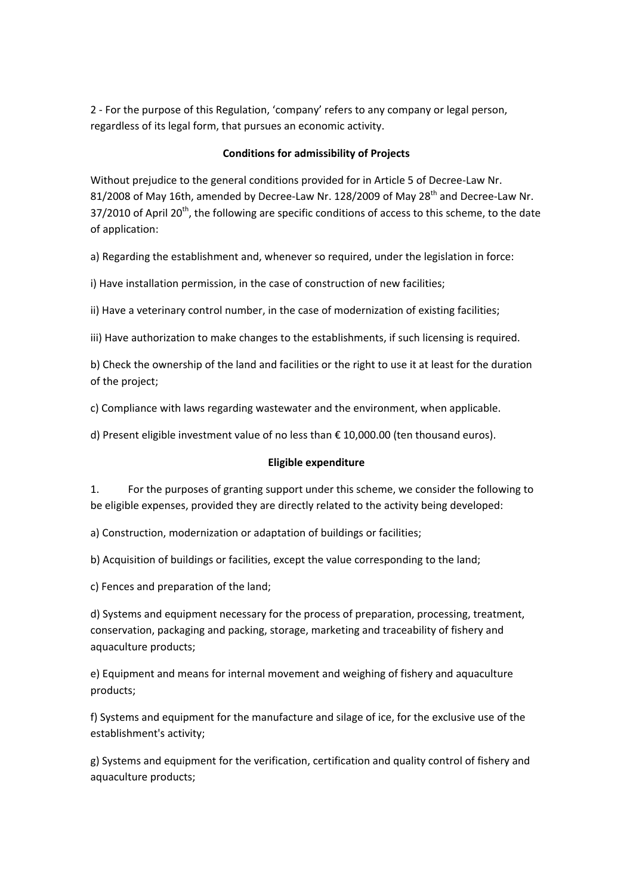2 - For the purpose of this Regulation, 'company' refers to any company or legal person, regardless of its legal form, that pursues an economic activity.

### **Conditions for admissibility of Projects**

Without prejudice to the general conditions provided for in Article 5 of Decree-Law Nr. 81/2008 of May 16th, amended by Decree-Law Nr. 128/2009 of May 28<sup>th</sup> and Decree-Law Nr.  $37/2010$  of April 20<sup>th</sup>, the following are specific conditions of access to this scheme, to the date of application:

a) Regarding the establishment and, whenever so required, under the legislation in force:

i) Have installation permission, in the case of construction of new facilities;

ii) Have a veterinary control number, in the case of modernization of existing facilities;

iii) Have authorization to make changes to the establishments, if such licensing is required.

b) Check the ownership of the land and facilities or the right to use it at least for the duration of the project;

c) Compliance with laws regarding wastewater and the environment, when applicable.

d) Present eligible investment value of no less than € 10,000.00 (ten thousand euros).

### **Eligible expenditure**

1. For the purposes of granting support under this scheme, we consider the following to be eligible expenses, provided they are directly related to the activity being developed:

a) Construction, modernization or adaptation of buildings or facilities;

b) Acquisition of buildings or facilities, except the value corresponding to the land;

c) Fences and preparation of the land;

d) Systems and equipment necessary for the process of preparation, processing, treatment, conservation, packaging and packing, storage, marketing and traceability of fishery and aquaculture products;

e) Equipment and means for internal movement and weighing of fishery and aquaculture products;

f) Systems and equipment for the manufacture and silage of ice, for the exclusive use of the establishment's activity;

g) Systems and equipment for the verification, certification and quality control of fishery and aquaculture products;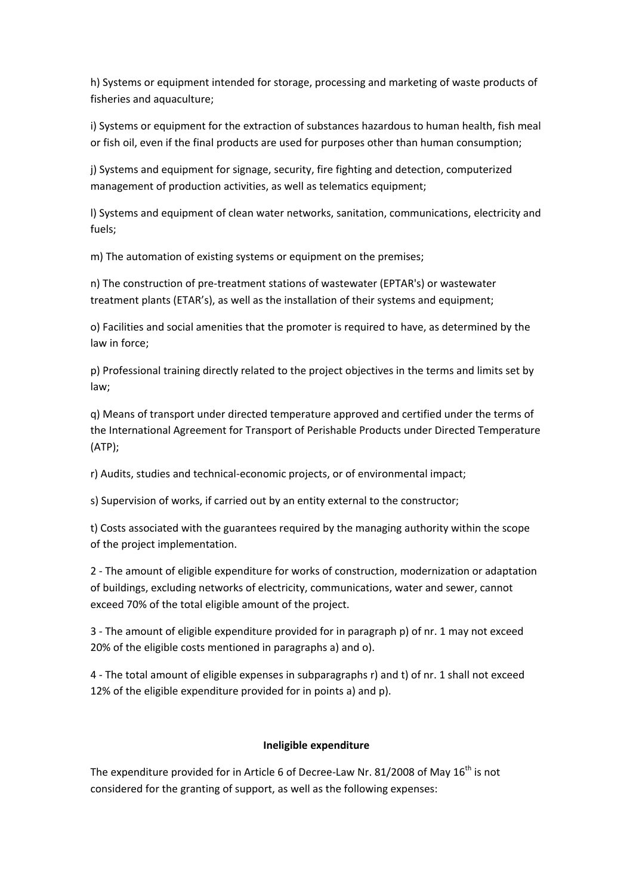h) Systems or equipment intended for storage, processing and marketing of waste products of fisheries and aquaculture;

i) Systems or equipment for the extraction of substances hazardous to human health, fish meal or fish oil, even if the final products are used for purposes other than human consumption;

j) Systems and equipment for signage, security, fire fighting and detection, computerized management of production activities, as well as telematics equipment;

l) Systems and equipment of clean water networks, sanitation, communications, electricity and fuels;

m) The automation of existing systems or equipment on the premises;

n) The construction of pre-treatment stations of wastewater (EPTAR's) or wastewater treatment plants (ETAR's), as well as the installation of their systems and equipment;

o) Facilities and social amenities that the promoter is required to have, as determined by the law in force;

p) Professional training directly related to the project objectives in the terms and limits set by law;

q) Means of transport under directed temperature approved and certified under the terms of the International Agreement for Transport of Perishable Products under Directed Temperature (ATP);

r) Audits, studies and technical-economic projects, or of environmental impact;

s) Supervision of works, if carried out by an entity external to the constructor;

t) Costs associated with the guarantees required by the managing authority within the scope of the project implementation.

2 - The amount of eligible expenditure for works of construction, modernization or adaptation of buildings, excluding networks of electricity, communications, water and sewer, cannot exceed 70% of the total eligible amount of the project.

3 - The amount of eligible expenditure provided for in paragraph p) of nr. 1 may not exceed 20% of the eligible costs mentioned in paragraphs a) and o).

4 - The total amount of eligible expenses in subparagraphs r) and t) of nr. 1 shall not exceed 12% of the eligible expenditure provided for in points a) and p).

## **Ineligible expenditure**

The expenditure provided for in Article 6 of Decree-Law Nr. 81/2008 of May  $16^{th}$  is not considered for the granting of support, as well as the following expenses: